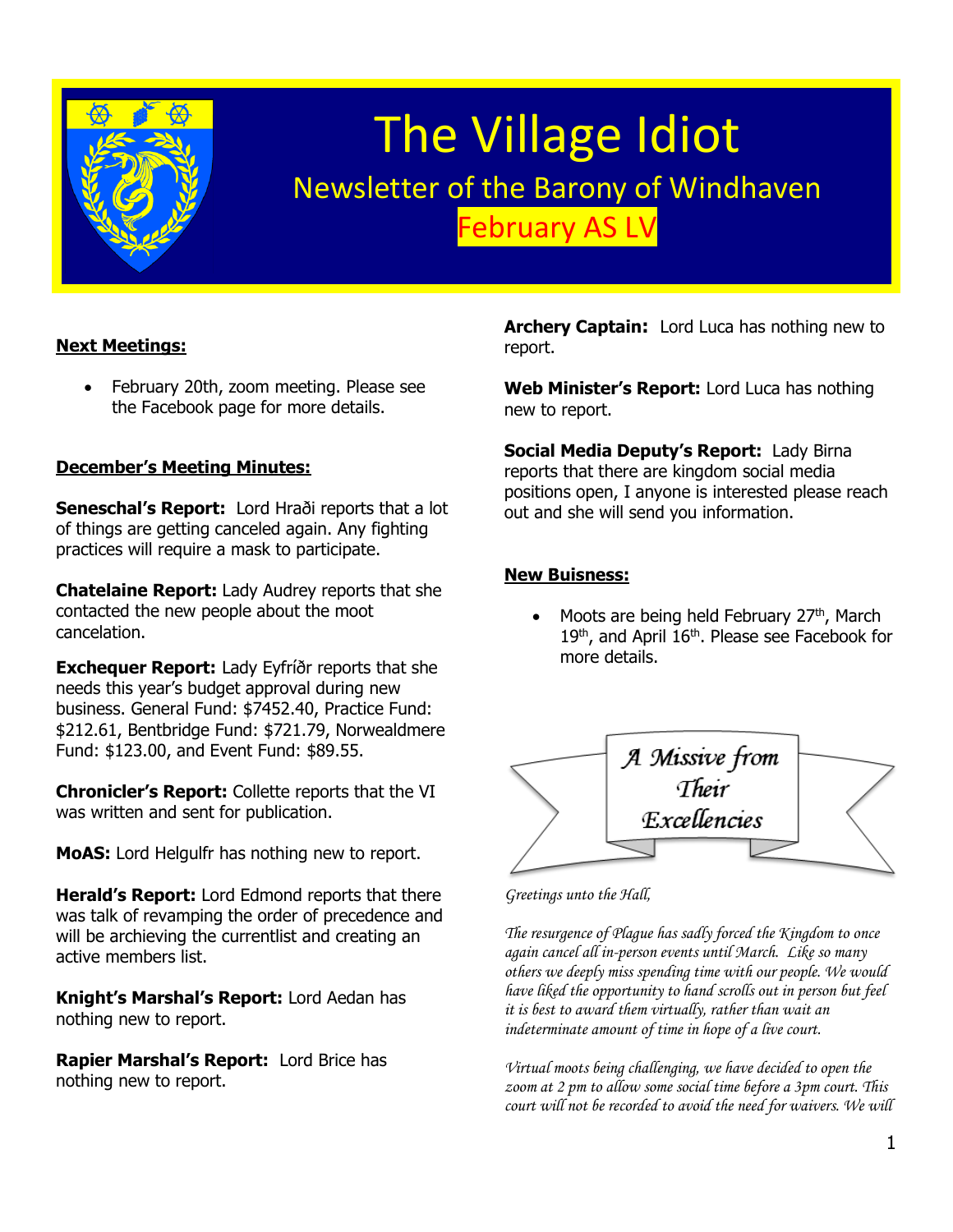

# The Village Idiot Newsletter of the Barony of Windhaven February AS LV

#### **Next Meetings:**

• February 20th, zoom meeting. Please see the Facebook page for more details.

#### **December's Meeting Minutes:**

**Seneschal's Report:** Lord Hraði reports that a lot of things are getting canceled again. Any fighting practices will require a mask to participate.

**Chatelaine Report:** Lady Audrey reports that she contacted the new people about the moot cancelation.

**Exchequer Report:** Lady Eyfríðr reports that she needs this year's budget approval during new business. General Fund: \$7452.40, Practice Fund: \$212.61, Bentbridge Fund: \$721.79, Norwealdmere Fund: \$123.00, and Event Fund: \$89.55.

**Chronicler's Report:** Collette reports that the VI was written and sent for publication.

**MoAS:** Lord Helgulfr has nothing new to report.

**Herald's Report:** Lord Edmond reports that there was talk of revamping the order of precedence and will be archieving the currentlist and creating an active members list.

**Knight's Marshal's Report:** Lord Aedan has nothing new to report.

**Rapier Marshal's Report:** Lord Brice has nothing new to report.

**Archery Captain:** Lord Luca has nothing new to report.

**Web Minister's Report:** Lord Luca has nothing new to report.

**Social Media Deputy's Report:** Lady Birna reports that there are kingdom social media positions open, I anyone is interested please reach out and she will send you information.

#### **New Buisness:**

Moots are being held February 27<sup>th</sup>, March 19<sup>th</sup>, and April 16<sup>th</sup>. Please see Facebook for more details.



*Greetings unto the Hall,*

*The resurgence of Plague has sadly forced the Kingdom to once again cancel all in-person events until March. Like so many others we deeply miss spending time with our people. We would have liked the opportunity to hand scrolls out in person but feel it is best to award them virtually, rather than wait an indeterminate amount of time in hope of a live court.*

*Virtual moots being challenging, we have decided to open the zoom at 2 pm to allow some social time before a 3pm court. This court will not be recorded to avoid the need for waivers. We will*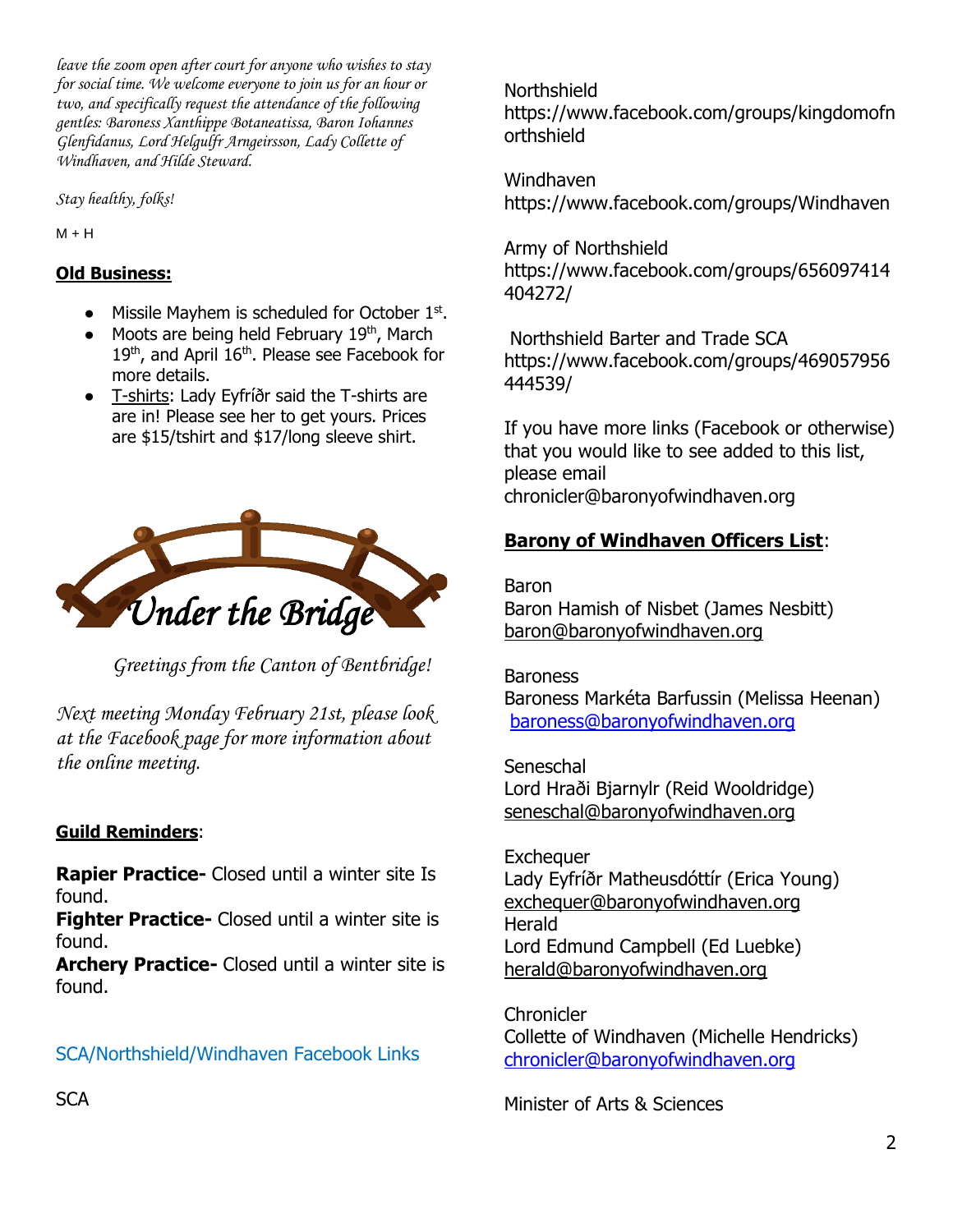*leave the zoom open after court for anyone who wishes to stay for social time. We welcome everyone to join us for an hour or two, and specifically request the attendance of the following gentles: Baroness Xanthippe Botaneatissa, Baron Iohannes Glenfidanus, Lord Helgulfr Arngeirsson, Lady Collette of Windhaven, and Hilde Steward.*

*Stay healthy, folks!*

 $M + H$ 

### **Old Business:**

- Missile Mayhem is scheduled for October 1st.
- Moots are being held February 19<sup>th</sup>, March 19<sup>th</sup>, and April 16<sup>th</sup>. Please see Facebook for more details.
- T-shirts: Lady Eyfríðr said the T-shirts are are in! Please see her to get yours. Prices are \$15/tshirt and \$17/long sleeve shirt.



*Greetings from the Canton of Bentbridge!* 

*Next meeting Monday February 21st, please look at the Facebook page for more information about the online meeting.*

### **Guild Reminders**:

**Rapier Practice-** Closed until a winter site Is found.

**Fighter Practice-** Closed until a winter site is found.

**Archery Practice-** Closed until a winter site is found.

SCA/Northshield/Windhaven Facebook Links

Northshield https://www.facebook.com/groups/kingdomofn orthshield

Windhaven <https://www.facebook.com/groups/Windhaven>

Army of Northshield https://www.facebook.com/groups/656097414 404272/

Northshield Barter and Trade SCA https://www.facebook.com/groups/469057956 444539/

If you have more links (Facebook or otherwise) that you would like to see added to this list, please email chronicler@baronyofwindhaven.org

## **Barony of Windhaven Officers List**:

Baron Baron Hamish of Nisbet (James Nesbitt) [baron@baronyofwindhaven.org](mailto:baron@baronyofwindhaven.org)

**Baroness** Baroness Markéta Barfussin (Melissa Heenan) [baroness@baronyofwindhaven.org](mailto:baroness@baronyofwindhaven.org)

**Seneschal** Lord Hraði Bjarnylr (Reid Wooldridge) seneschal@baronyofwindhaven.org

**Exchequer** Lady Eyfríðr Matheusdóttír (Erica Young) [exchequer@baronyofwindhaven.org](mailto:exchequer@baronyofwindhaven.org) **Herald** Lord Edmund Campbell (Ed Luebke) [herald@baronyofwindhaven.org](mailto:herald@baronyofwindhaven.org)

**Chronicler** Collette of Windhaven (Michelle Hendricks) [chronicler@baronyofwindhaven.org](mailto:chronicler@baronyofwindhaven.org)

Minister of Arts & Sciences

**SCA**